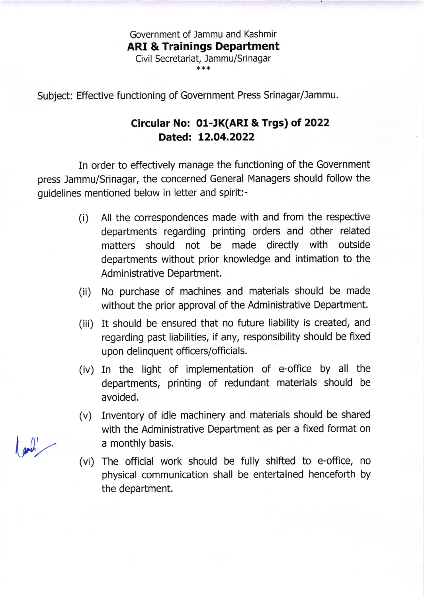Government of Jammu and Kashmir ARI & Trainings Department Civil Secretariat, Jammu/Srinagar

\*\*\*

Subject: Effective functioning of Government Press Srinagar/lammu.

## Circular No: 0l-JK(ARI & Trgs) of 2022 Dated: L2.O4.2O22

In order to effectively manage the functioning of the Government press Jammu/Srinagar, the concerned General Managers should follow the guidelines mentioned below in letter and spirit:-

- (i) All the correspondences made with and from the respective departments regarding printing orders and other related matters should not be made directly with outside departments without prior knowledge and intimation to the Administrative Department.
- (ii) No purchase of machines and materials should be made without the prior approval of the Administrative Department.
- (iii) It should be ensured that no future liability is created, and regarding past liabilities, if any, responsibility should be fixed upon delinquent officers/officials.
- (iv) In the light of implementation of e-office by all the departments, printing of redundant materials should be avoided.
- (v) Inventory of idle machinery and materials should be shared with the Administrative Department as per a fixed format on a monthly basis.
- (vi) The official work should be fully shifted to e-office, no physical communication shall be entertained henceforth by the department.

and !